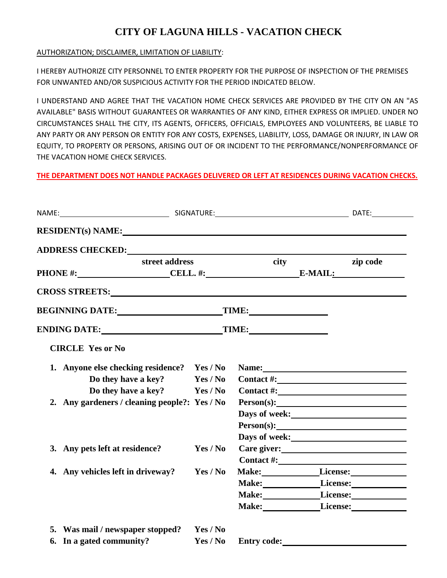## **CITY OF LAGUNA HILLS - VACATION CHECK**

## AUTHORIZATION; DISCLAIMER, LIMITATION OF LIABILITY:

I HEREBY AUTHORIZE CITY PERSONNEL TO ENTER PROPERTY FOR THE PURPOSE OF INSPECTION OF THE PREMISES FOR UNWANTED AND/OR SUSPICIOUS ACTIVITY FOR THE PERIOD INDICATED BELOW.

I UNDERSTAND AND AGREE THAT THE VACATION HOME CHECK SERVICES ARE PROVIDED BY THE CITY ON AN "AS AVAILABLE" BASIS WITHOUT GUARANTEES OR WARRANTIES OF ANY KIND, EITHER EXPRESS OR IMPLIED. UNDER NO CIRCUMSTANCES SHALL THE CITY, ITS AGENTS, OFFICERS, OFFICIALS, EMPLOYEES AND VOLUNTEERS, BE LIABLE TO ANY PARTY OR ANY PERSON OR ENTITY FOR ANY COSTS, EXPENSES, LIABILITY, LOSS, DAMAGE OR INJURY, IN LAW OR EQUITY, TO PROPERTY OR PERSONS, ARISING OUT OF OR INCIDENT TO THE PERFORMANCE/NONPERFORMANCE OF THE VACATION HOME CHECK SERVICES.

**THE DEPARTMENT DOES NOT HANDLE PACKAGES DELIVERED OR LEFT AT RESIDENCES DURING VACATION CHECKS.**

| street address                                                                   |          | city               | zip code                          |
|----------------------------------------------------------------------------------|----------|--------------------|-----------------------------------|
|                                                                                  |          |                    |                                   |
|                                                                                  |          |                    |                                   |
| BEGINNING DATE:______________________________TIME:______________________________ |          |                    |                                   |
|                                                                                  |          |                    |                                   |
| <b>CIRCLE Yes or No</b>                                                          |          |                    |                                   |
| 1. Anyone else checking residence? Yes / No                                      |          |                    | Name:                             |
| Do they have a key? Yes / No                                                     |          |                    | Contact #: $\qquad \qquad$        |
| Do they have a key? Yes / No                                                     |          |                    | Contact #: $\qquad \qquad$        |
| 2. Any gardeners / cleaning people?: Yes / No                                    |          |                    |                                   |
|                                                                                  |          |                    |                                   |
|                                                                                  |          |                    | Person(s):                        |
|                                                                                  |          |                    |                                   |
| 3. Any pets left at residence?                                                   | Yes / No |                    | Care giver:<br><u>Care giver:</u> |
|                                                                                  |          |                    | Contact $\#$ :                    |
| 4. Any vehicles left in driveway?                                                | Yes / No |                    | Make: License: License:           |
|                                                                                  |          |                    |                                   |
|                                                                                  |          |                    | Make: License: License:           |
|                                                                                  |          |                    | Make: License: License:           |
| 5. Was mail / newspaper stopped? Yes / No                                        |          |                    |                                   |
| 6. In a gated community?                                                         | Yes / No | <b>Entry code:</b> |                                   |